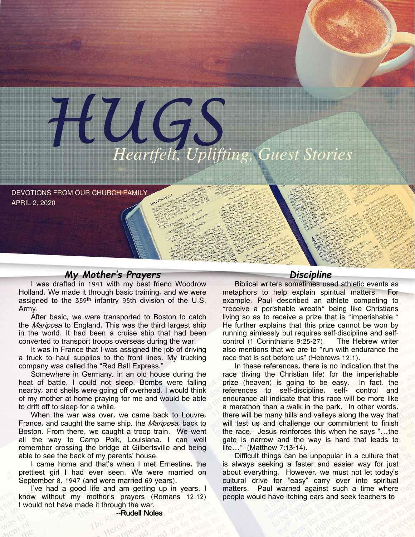

DEVOTIONS FROM OUR CHURCH FAMILY APRIL 2, 2020

# My Mother's Prayers

I was drafted in 1941 with my best friend Woodrow Holland. We made it through basic training, and we were assigned to the 359<sup>th</sup> infantry 95th division of the U.S. Army.

After basic, we were transported to Boston to catch the *Mariposa* to England. This was the third largest ship in the world. It had been a cruise ship that had been converted to transport troops overseas during the war.

It was in France that I was assigned the job of driving a truck to haul supplies to the front lines. My trucking company was called the "Red Ball Express."

Somewhere in Germany, in an old house during the heat of battle, I could not sleep. Bombs were falling nearby, and shells were going off overhead. I would think of my mother at home praying for me and would be able to drift off to sleep for a while.

When the war was over, we came back to Louvre, France, and caught the same ship, the *Mariposa*, back to Boston. From there, we caught a troop train. We went all the way to Camp Polk, Louisiana. I can well remember crossing the bridge at Gilbertsville and being able to see the back of my parents' house.

I came home and that's when I met Ernestine, the prettiest girl I had ever seen. We were married on September 8, 1947 (and were married 69 years).

I've had a good life and am getting up in years. I know without my mother's prayers (Romans 12:12) I would not have made it through the war.

 $n e^{k\nu}$  due

## Discipline

Biblical writers sometimes used athletic events as metaphors to help explain spiritual matters. For example, Paul described an athlete competing to "receive a perishable wreath" being like Christians living so as to receive a prize that is "imperishable." He further explains that this prize cannot be won by running aimlessly but requires self-discipline and selfcontrol (1 Corinthians 9:25-27). The Hebrew writer also mentions that we are to "run with endurance the race that is set before us" (Hebrews 12:1).

In these references, there is no indication that the race (living the Christian life) for the imperishable prize (heaven) is going to be easy. In fact, the references to self-discipline, self- control and endurance all indicate that this race will be more like a marathon than a walk in the park. In other words, there will be many hills and valleys along the way that will test us and challenge our commitment to finish the race. Jesus reinforces this when he says "…the gate is narrow and the way is hard that leads to life…" (Matthew 7:13-14).

Difficult things can be unpopular in a culture that is always seeking a faster and easier way for just about everything. However, we must not let today's cultural drive for "easy" carry over into spiritual matters. Paul warned against such a time where people would have itching ears and seek teachers to